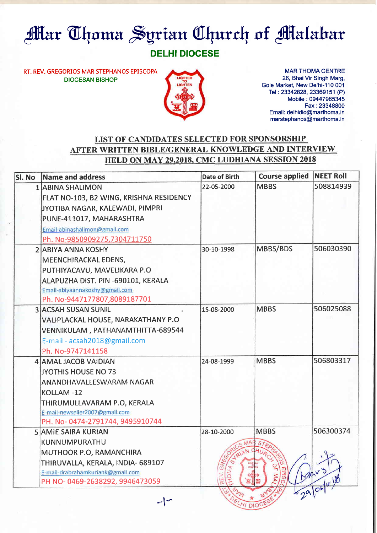## **Mar Thoma Syrian Church of Malabar**

## DELHI DIOCESE

RT. REV. GREGORIOS MAR STEPHANOS EPISCOPA DIOCESAN BISHOP



MAR THOMA CENTRE 26, Bhai Vir Singh Marg, Gole Market, New Delhi-110 001 Tel: 23342828, 23369151 (P) Mobile: 09447965345 Fax :23348800 Email: delhidio@marthoma.in marstephanos@marthoma. in

## LIST OF CANDIDATES SELECTED FOR SPONSORSHIP AFTER WRITTEN BIBLE/GENERAL KNOWLEDGE AND INTERVIEW HELD ON MAY 29,2018, CMC LUDHIANA SESSION 2018

| SI. No | Name and address                        | <b>Date of Birth</b>     | <b>Course applied</b>            | <b>NEET Roll</b> |
|--------|-----------------------------------------|--------------------------|----------------------------------|------------------|
|        | 1 ABINA SHALIMON                        | 22-05-2000               | <b>MBBS</b>                      | 508814939        |
|        | FLAT NO-103, B2 WING, KRISHNA RESIDENCY |                          |                                  |                  |
|        | JYOTIBA NAGAR, KALEWADI, PIMPRI         |                          |                                  |                  |
|        | PUNE-411017, MAHARASHTRA                |                          |                                  |                  |
|        | Email-abinashalimon@gmail.com           |                          |                                  |                  |
|        | Ph. No-9850909275,7304711750            |                          |                                  |                  |
|        | <b>2 ABIYA ANNA KOSHY</b>               | 30-10-1998               | MBBS/BDS                         | 506030390        |
|        | MEENCHIRACKAL EDENS,                    |                          |                                  |                  |
|        | PUTHIYACAVU, MAVELIKARA P.O             |                          |                                  |                  |
|        | ALAPUZHA DIST. PIN -690101, KERALA      |                          |                                  |                  |
|        | Email-abiyaannakoshy@gmail.com          |                          |                                  |                  |
|        | Ph. No-9447177807,8089187701            |                          |                                  |                  |
|        | <b>3 ACSAH SUSAN SUNIL</b>              | 15-08-2000               | <b>MBBS</b>                      | 506025088        |
|        | VALIPLACKAL HOUSE, NARAKATHANY P.O      |                          |                                  |                  |
|        | VENNIKULAM, PATHANAMTHITTA-689544       |                          |                                  |                  |
|        | E-mail - acsah2018@gmail.com            |                          |                                  |                  |
|        | Ph. No-9747141158                       |                          |                                  |                  |
|        | 4 AMAL JACOB VAIDIAN                    | 24-08-1999               | <b>MBBS</b>                      | 506803317        |
|        | <b>JYOTHIS HOUSE NO 73</b>              |                          |                                  |                  |
|        | ANANDHAVALLESWARAM NAGAR                |                          |                                  |                  |
|        | KOLLAM-12                               |                          |                                  |                  |
|        | THIRUMULLAVARAM P.O, KERALA             |                          |                                  |                  |
|        | E-mail-newseller2007@gmail.com          |                          |                                  |                  |
|        | PH. No-0474-2791744, 9495910744         |                          |                                  |                  |
|        | <b>5 AMIE SAIRA KURIAN</b>              | 28-10-2000               | <b>MBBS</b>                      | 506300374        |
|        | KUNNUMPURATHU                           | MA                       |                                  |                  |
|        | MUTHOOR P.O, RAMANCHIRA                 | UAN                      | OHUP                             | $\eta_{\infty}$  |
|        | THIRUVALLA, KERALA, INDIA- 689107       | GRET                     |                                  |                  |
|        | E-mail-drabrahamkuriank@gmail.com       | <b>CHOMA SHS</b><br>REV. | OF MA <sub>1</sub><br>40<br>IScq |                  |
|        | PH NO-0469-2638292, 9946473059          |                          |                                  | $-29/05/4$       |
|        |                                         |                          |                                  |                  |
|        | $ \sim$                                 | HI DIOCE                 |                                  |                  |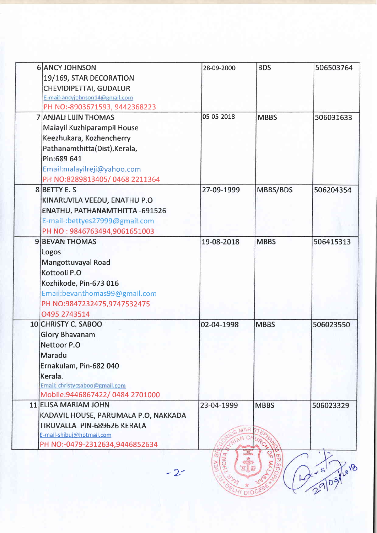| <b>6 ANCY JOHNSON</b>                | 28-09-2000 | <b>BDS</b>                          | 506503764  |
|--------------------------------------|------------|-------------------------------------|------------|
| 19/169, STAR DECORATION              |            |                                     |            |
| CHEVIDIPETTAI, GUDALUR               |            |                                     |            |
| E-mail-ancyjohnson14@gmail.com       |            |                                     |            |
| PH NO:-8903671593, 9442368223        |            |                                     |            |
| <b>7 ANJALI LIJIN THOMAS</b>         | 05-05-2018 | <b>MBBS</b>                         | 506031633  |
| Malayil Kuzhiparampil House          |            |                                     |            |
| Keezhukara, Kozhencherry             |            |                                     |            |
| Pathanamthitta(Dist), Kerala,        |            |                                     |            |
| Pin:689 641                          |            |                                     |            |
| Email:malayilreji@yahoo.com          |            |                                     |            |
| PH NO:8289813405/0468 2211364        |            |                                     |            |
| 8 BETTY E. S                         | 27-09-1999 | MBBS/BDS                            | 506204354  |
| KINARUVILA VEEDU, ENATHU P.O         |            |                                     |            |
| ENATHU, PATHANAMTHITTA - 691526      |            |                                     |            |
| E-mail-:bettyes27999@gmail.com       |            |                                     |            |
| PH NO: 9846763494,9061651003         |            |                                     |            |
| <b>9 BEVAN THOMAS</b>                | 19-08-2018 | <b>MBBS</b>                         | 506415313  |
| Logos                                |            |                                     |            |
| Mangottuvayal Road                   |            |                                     |            |
| Kottooli P.O                         |            |                                     |            |
| Kozhikode, Pin-673 016               |            |                                     |            |
| Email:bevanthomas99@gmail.com        |            |                                     |            |
| PH NO:9847232475,9747532475          |            |                                     |            |
| 0495 2743514                         |            |                                     |            |
| 10 CHRISTY C. SABOO                  | 02-04-1998 | <b>MBBS</b>                         | 506023550  |
| <b>Glory Bhavanam</b>                |            |                                     |            |
| Nettoor P.O                          |            |                                     |            |
| Maradu                               |            |                                     |            |
| Ernakulam, Pin-682 040               |            |                                     |            |
| Kerala.                              |            |                                     |            |
| Email: christycsaboo@gmail.com       |            |                                     |            |
| Mobile: 9446867422/0484 2701000      |            |                                     |            |
| 11 ELISA MARIAM JOHN                 | 23-04-1999 | <b>MBBS</b>                         | 506023329  |
| KADAVIL HOUSE, PARUMALA P.O, NAKKADA |            |                                     |            |
| <b>TIRUVALLA PIN-689626 KERALA</b>   |            |                                     |            |
| E-mail-shibuj@hotmail.com            |            |                                     |            |
| PH NO:-0479-2312634,9446852634       |            | Ó                                   |            |
| $-22$                                | C<br>HOMA  | 읶<br>LIGHTEN<br>EPIS<br>MALA<br>cop | 29/09/1018 |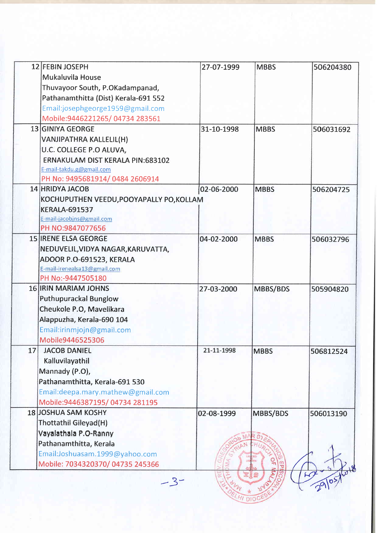|    | 12 FEBIN JOSEPH                          | 27-07-1999 | <b>MBBS</b> | 506204380 |
|----|------------------------------------------|------------|-------------|-----------|
|    | Mukaluvila House                         |            |             |           |
|    | Thuvayoor South, P.OKadampanad,          |            |             |           |
|    | Pathanamthitta (Dist) Kerala-691 552     |            |             |           |
|    | Email:josephgeorge1959@gmail.com         |            |             |           |
|    | Mobile: 9446221265/04734 283561          |            |             |           |
|    | 13 GINIYA GEORGE                         | 31-10-1998 | <b>MBBS</b> | 506031692 |
|    | VANJIPATHRA KALLELIL(H)                  |            |             |           |
|    | U.C. COLLEGE P.O ALUVA,                  |            |             |           |
|    | <b>ERNAKULAM DIST KERALA PIN:683102</b>  |            |             |           |
|    | E-mail-takdu.g@gmail.com                 |            |             |           |
|    | PH No: 9495681914/0484 2606914           |            |             |           |
|    | 14 HRIDYA JACOB                          | 02-06-2000 | <b>MBBS</b> | 506204725 |
|    | KOCHUPUTHEN VEEDU, POOYAPALLY PO, KOLLAM |            |             |           |
|    | <b>KERALA-691537</b>                     |            |             |           |
|    | E-mail-jacobjns@gmail.com                |            |             |           |
|    | PH NO:9847077656                         |            |             |           |
|    | <b>15 IRENE ELSA GEORGE</b>              | 04-02-2000 | <b>MBBS</b> | 506032796 |
|    | NEDUVELIL, VIDYA NAGAR, KARUVATTA,       |            |             |           |
|    | ADOOR P.O-691523, KERALA                 |            |             |           |
|    | E-mail-irenealsa13@gmail.com             |            |             |           |
|    | PH No:-9447505180                        |            |             |           |
|    | <b>16 IRIN MARIAM JOHNS</b>              | 27-03-2000 | MBBS/BDS    | 505904820 |
|    | <b>Puthupurackal Bunglow</b>             |            |             |           |
|    | Cheukole P.O, Mavelikara                 |            |             |           |
|    | Alappuzha, Kerala-690 104                |            |             |           |
|    | Email:irinmjojn@gmail.com                |            |             |           |
|    | Mobile9446525306                         |            |             |           |
| 17 | <b>JACOB DANIEL</b>                      | 21-11-1998 | <b>MBBS</b> | 506812524 |
|    | Kalluvilayathil                          |            |             |           |
|    | Mannady (P.O),                           |            |             |           |
|    | Pathanamthitta, Kerala-691 530           |            |             |           |
|    | Email: deepa.mary.mathew@gmail.com       |            |             |           |
|    | Mobile: 9446387195 / 04734 281195        |            |             |           |
|    | <b>18 JOSHUA SAM KOSHY</b>               | 02-08-1999 | MBBS/BDS    | 506013190 |
|    | Thottathil Gileyad(H)                    |            |             |           |
|    | Vayalathala P.O-Ranny                    |            |             |           |
|    | Pathanamthitta, Kerala                   |            |             |           |
|    | Email:Joshuasam.1999@yahoo.com           |            |             |           |
|    | Mobile: 7034320370/04735 245366          |            | 읚           |           |
|    |                                          |            | 医旧音         |           |
|    | -3-                                      |            |             |           |
|    |                                          |            |             |           |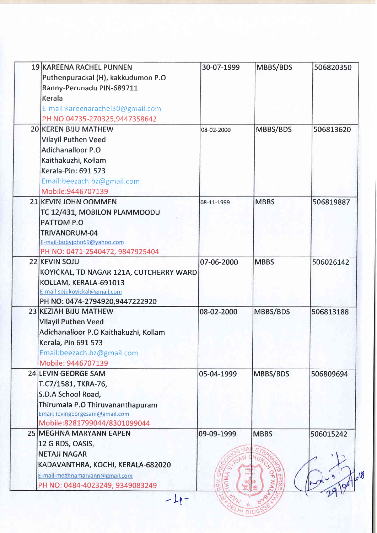| PH NO: 0484-4023249, 9349083249                                                                                                     |            |             |           |
|-------------------------------------------------------------------------------------------------------------------------------------|------------|-------------|-----------|
| 12 G RDS, OASIS,<br><b>NETAJI NAGAR</b><br>KADAVANTHRA, KOCHI, KERALA-682020<br>E-mail-meghnamaryann@gmail.com                      |            | C           | $10^{18}$ |
| 25 MEGHNA MARYANN EAPEN                                                                                                             | 09-09-1999 | <b>MBBS</b> | 506015242 |
| Thirumala P.O Thiruvananthapuram<br>Email: levingeorgesam@gmail.com<br>Mobile:8281799044/8301099044                                 |            |             |           |
| T.C7/1581, TKRA-76,<br>S.D.A School Road,                                                                                           |            |             |           |
| <b>24 LEVIN GEORGE SAM</b>                                                                                                          | 05-04-1999 | MBBS/BDS    | 506809694 |
| Adichanalloor P.O Kaithakuzhi, Kollam<br>Kerala, Pin 691 573<br>Email:beezach.bz@gmail.com<br>Mobile: 9446707139                    |            |             |           |
| 23 KEZIAH BIJU MATHEW<br><b>Vilayil Puthen Veed</b>                                                                                 | 08-02-2000 | MBBS/BDS    | 506813188 |
| KOYICKAL, TD NAGAR 121A, CUTCHERRY WARD<br>KOLLAM, KERALA-691013<br>E-mail-sojukoyickal@gmail.com<br>PH NO: 0474-2794920,9447222920 |            |             |           |
| <b>22 KEVIN SOJU</b>                                                                                                                | 07-06-2000 | <b>MBBS</b> | 506026142 |
| TRIVANDRUM-04<br>E-mail-bobyjohn69@yahoo.com<br>PH NO: 0471-2540472, 9847925404                                                     |            |             |           |
| PATTOM P.O                                                                                                                          |            |             |           |
| 21 KEVIN JOHN OOMMEN<br>TC 12/431, MOBILON PLAMMOODU                                                                                | 08-11-1999 | <b>MBBS</b> | 506819887 |
| Email:beezach.bz@gmail.com<br>Mobile: 9446707139                                                                                    |            |             |           |
| Kerala-Pin: 691 573                                                                                                                 |            |             |           |
| Adichanalloor P.O<br>Kaithakuzhi, Kollam                                                                                            |            |             |           |
| <b>Vilayil Puthen Veed</b>                                                                                                          |            |             |           |
| PH NO:04735-270325,9447358642<br><b>20 KEREN BIJU MATHEW</b>                                                                        | 08-02-2000 | MBBS/BDS    | 506813620 |
| E-mail: kareenarachel 30@gmail.com                                                                                                  |            |             |           |
| Ranny-Perunadu PIN-689711<br>Kerala                                                                                                 |            |             |           |
| Puthenpurackal (H), kakkudumon P.O                                                                                                  |            |             |           |
| 19 KAREENA RACHEL PUNNEN                                                                                                            | 30-07-1999 | MBBS/BDS    | 506820350 |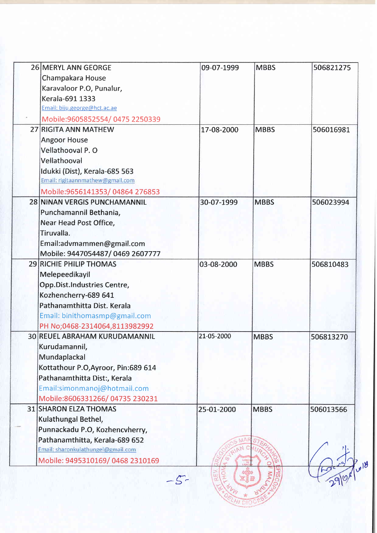| <b>26 MERYL ANN GEORGE</b>          | 09-07-1999 | <b>MBBS</b> | 506821275 |
|-------------------------------------|------------|-------------|-----------|
| Champakara House                    |            |             |           |
| Karavaloor P.O, Punalur,            |            |             |           |
| Kerala-691 1333                     |            |             |           |
| Email: biju.george@hct.ac.ae        |            |             |           |
| Mobile:9605852554/0475 2250339      |            |             |           |
| 27 RIGITA ANN MATHEW                | 17-08-2000 | <b>MBBS</b> | 506016981 |
| <b>Angoor House</b>                 |            |             |           |
| Vellathooval P.O                    |            |             |           |
| Vellathooval                        |            |             |           |
| Idukki (Dist), Kerala-685 563       |            |             |           |
| Email: rigitaannmathew@gmail.com    |            |             |           |
| Mobile:9656141353/04864 276853      |            |             |           |
| 28 NINAN VERGIS PUNCHAMANNIL        | 30-07-1999 | <b>MBBS</b> | 506023994 |
| Punchamannil Bethania,              |            |             |           |
| Near Head Post Office,              |            |             |           |
| Tiruvalla.                          |            |             |           |
| Email:advmammen@gmail.com           |            |             |           |
| Mobile: 9447054487/0469 2607777     |            |             |           |
| <b>29 RICHIE PHILIP THOMAS</b>      | 03-08-2000 | <b>MBBS</b> | 506810483 |
| Melepeedikayil                      |            |             |           |
| Opp.Dist.Industries Centre,         |            |             |           |
| Kozhencherry-689 641                |            |             |           |
| Pathanamthitta Dist. Kerala         |            |             |           |
| Email: binithomasmp@gmail.com       |            |             |           |
| PH No;0468-2314064,8113982992       |            |             |           |
| 30 REUEL ABRAHAM KURUDAMANNIL       | 21-05-2000 | <b>MBBS</b> | 506813270 |
| Kurudamannil,                       |            |             |           |
| Mundaplackal                        |            |             |           |
| Kottathour P.O, Ayroor, Pin:689 614 |            |             |           |
| Pathanamthitta Dist:, Kerala        |            |             |           |
| Email:simonmanoj@hotmail.com        |            |             |           |
| Mobile:8606331266/04735 230231      |            |             |           |
| <b>31 SHARON ELZA THOMAS</b>        | 25-01-2000 | <b>MBBS</b> | 506013566 |
| Kulathungal Bethel,                 |            |             |           |
| Punnackadu P.O, Kozhencvherry,      |            |             |           |
| Pathanamthitta, Kerala-689 652      |            |             |           |
| Email: sharonkulathungel@gmail.com  |            |             |           |
| Mobile: 9495310169/0468 2310169     |            |             |           |
|                                     |            |             | $18^{18}$ |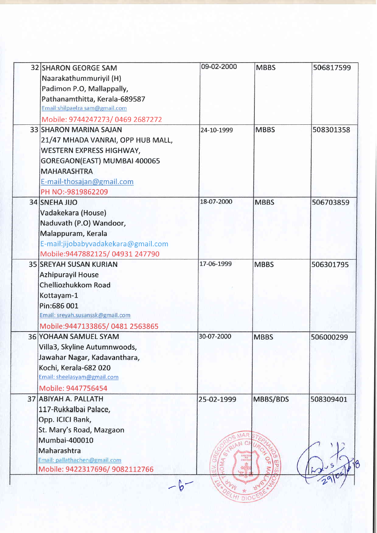| Naarakathummuriyil (H)<br>Padimon P.O, Mallappally,<br>Pathanamthitta, Kerala-689587<br>Email:shilpaelza sam@gmail.com<br>Mobile: 9744247273/0469 2687272<br><b>33 SHARON MARINA SAJAN</b><br>21/47 MHADA VANRAI, OPP HUB MALL,<br><b>WESTERN EXPRESS HIGHWAY,</b><br>GOREGAON(EAST) MUMBAI 400065<br><b>MAHARASHTRA</b><br>E-mail-thosajan@gmail.com<br>PH NO:-9819862209<br><b>34 SNEHA JIJO</b><br>Vadakekara (House)<br>Naduvath (P.O) Wandoor,<br>Malappuram, Kerala | 24-10-1999<br>18-07-2000                                                                                                                                                                                                                                                                                                                                                                                                                              | <b>MBBS</b><br><b>MBBS</b> | 508301358<br>506703859 |
|---------------------------------------------------------------------------------------------------------------------------------------------------------------------------------------------------------------------------------------------------------------------------------------------------------------------------------------------------------------------------------------------------------------------------------------------------------------------------|-------------------------------------------------------------------------------------------------------------------------------------------------------------------------------------------------------------------------------------------------------------------------------------------------------------------------------------------------------------------------------------------------------------------------------------------------------|----------------------------|------------------------|
|                                                                                                                                                                                                                                                                                                                                                                                                                                                                           |                                                                                                                                                                                                                                                                                                                                                                                                                                                       |                            |                        |
|                                                                                                                                                                                                                                                                                                                                                                                                                                                                           |                                                                                                                                                                                                                                                                                                                                                                                                                                                       |                            |                        |
|                                                                                                                                                                                                                                                                                                                                                                                                                                                                           |                                                                                                                                                                                                                                                                                                                                                                                                                                                       |                            |                        |
|                                                                                                                                                                                                                                                                                                                                                                                                                                                                           |                                                                                                                                                                                                                                                                                                                                                                                                                                                       |                            |                        |
|                                                                                                                                                                                                                                                                                                                                                                                                                                                                           |                                                                                                                                                                                                                                                                                                                                                                                                                                                       |                            |                        |
|                                                                                                                                                                                                                                                                                                                                                                                                                                                                           |                                                                                                                                                                                                                                                                                                                                                                                                                                                       |                            |                        |
|                                                                                                                                                                                                                                                                                                                                                                                                                                                                           |                                                                                                                                                                                                                                                                                                                                                                                                                                                       |                            |                        |
|                                                                                                                                                                                                                                                                                                                                                                                                                                                                           |                                                                                                                                                                                                                                                                                                                                                                                                                                                       |                            |                        |
|                                                                                                                                                                                                                                                                                                                                                                                                                                                                           |                                                                                                                                                                                                                                                                                                                                                                                                                                                       |                            |                        |
|                                                                                                                                                                                                                                                                                                                                                                                                                                                                           |                                                                                                                                                                                                                                                                                                                                                                                                                                                       |                            |                        |
|                                                                                                                                                                                                                                                                                                                                                                                                                                                                           |                                                                                                                                                                                                                                                                                                                                                                                                                                                       |                            |                        |
|                                                                                                                                                                                                                                                                                                                                                                                                                                                                           |                                                                                                                                                                                                                                                                                                                                                                                                                                                       |                            |                        |
|                                                                                                                                                                                                                                                                                                                                                                                                                                                                           |                                                                                                                                                                                                                                                                                                                                                                                                                                                       |                            |                        |
|                                                                                                                                                                                                                                                                                                                                                                                                                                                                           |                                                                                                                                                                                                                                                                                                                                                                                                                                                       |                            |                        |
|                                                                                                                                                                                                                                                                                                                                                                                                                                                                           |                                                                                                                                                                                                                                                                                                                                                                                                                                                       |                            |                        |
|                                                                                                                                                                                                                                                                                                                                                                                                                                                                           |                                                                                                                                                                                                                                                                                                                                                                                                                                                       |                            |                        |
| E-mail:jijobabyvadakekara@gmail.com                                                                                                                                                                                                                                                                                                                                                                                                                                       |                                                                                                                                                                                                                                                                                                                                                                                                                                                       |                            |                        |
| Mobile:9447882125/04931 247790                                                                                                                                                                                                                                                                                                                                                                                                                                            |                                                                                                                                                                                                                                                                                                                                                                                                                                                       |                            |                        |
| <b>35 SREYAH SUSAN KURIAN</b>                                                                                                                                                                                                                                                                                                                                                                                                                                             | 17-06-1999                                                                                                                                                                                                                                                                                                                                                                                                                                            | <b>MBBS</b>                | 506301795              |
| <b>Azhipurayil House</b>                                                                                                                                                                                                                                                                                                                                                                                                                                                  |                                                                                                                                                                                                                                                                                                                                                                                                                                                       |                            |                        |
| Chelliozhukkom Road                                                                                                                                                                                                                                                                                                                                                                                                                                                       |                                                                                                                                                                                                                                                                                                                                                                                                                                                       |                            |                        |
| Kottayam-1                                                                                                                                                                                                                                                                                                                                                                                                                                                                |                                                                                                                                                                                                                                                                                                                                                                                                                                                       |                            |                        |
| Pin:686 001                                                                                                                                                                                                                                                                                                                                                                                                                                                               |                                                                                                                                                                                                                                                                                                                                                                                                                                                       |                            |                        |
|                                                                                                                                                                                                                                                                                                                                                                                                                                                                           |                                                                                                                                                                                                                                                                                                                                                                                                                                                       |                            |                        |
|                                                                                                                                                                                                                                                                                                                                                                                                                                                                           |                                                                                                                                                                                                                                                                                                                                                                                                                                                       |                            |                        |
|                                                                                                                                                                                                                                                                                                                                                                                                                                                                           | 30-07-2000                                                                                                                                                                                                                                                                                                                                                                                                                                            | <b>MBBS</b>                | 506000299              |
|                                                                                                                                                                                                                                                                                                                                                                                                                                                                           |                                                                                                                                                                                                                                                                                                                                                                                                                                                       |                            |                        |
|                                                                                                                                                                                                                                                                                                                                                                                                                                                                           |                                                                                                                                                                                                                                                                                                                                                                                                                                                       |                            |                        |
|                                                                                                                                                                                                                                                                                                                                                                                                                                                                           |                                                                                                                                                                                                                                                                                                                                                                                                                                                       |                            |                        |
|                                                                                                                                                                                                                                                                                                                                                                                                                                                                           |                                                                                                                                                                                                                                                                                                                                                                                                                                                       |                            |                        |
|                                                                                                                                                                                                                                                                                                                                                                                                                                                                           |                                                                                                                                                                                                                                                                                                                                                                                                                                                       |                            |                        |
|                                                                                                                                                                                                                                                                                                                                                                                                                                                                           | 25-02-1999                                                                                                                                                                                                                                                                                                                                                                                                                                            | MBBS/BDS                   | 508309401              |
|                                                                                                                                                                                                                                                                                                                                                                                                                                                                           |                                                                                                                                                                                                                                                                                                                                                                                                                                                       |                            |                        |
|                                                                                                                                                                                                                                                                                                                                                                                                                                                                           |                                                                                                                                                                                                                                                                                                                                                                                                                                                       |                            |                        |
|                                                                                                                                                                                                                                                                                                                                                                                                                                                                           |                                                                                                                                                                                                                                                                                                                                                                                                                                                       |                            |                        |
|                                                                                                                                                                                                                                                                                                                                                                                                                                                                           |                                                                                                                                                                                                                                                                                                                                                                                                                                                       |                            |                        |
|                                                                                                                                                                                                                                                                                                                                                                                                                                                                           |                                                                                                                                                                                                                                                                                                                                                                                                                                                       |                            |                        |
|                                                                                                                                                                                                                                                                                                                                                                                                                                                                           |                                                                                                                                                                                                                                                                                                                                                                                                                                                       |                            |                        |
|                                                                                                                                                                                                                                                                                                                                                                                                                                                                           |                                                                                                                                                                                                                                                                                                                                                                                                                                                       |                            |                        |
|                                                                                                                                                                                                                                                                                                                                                                                                                                                                           | Email: sreyah.susanssk@gmail.com<br>Mobile: 9447133865/0481 2563865<br><b>36 YOHAAN SAMUEL SYAM</b><br>Villa3, Skyline Autumnwoods,<br>Jawahar Nagar, Kadavanthara,<br>Kochi, Kerala-682 020<br>Email: sheelasyam@gmail.com<br>Mobile: 9447756454<br>37 ABIYAH A. PALLATH<br>117-Rukkalbai Palace,<br>Opp. ICICI Bank,<br>St. Mary's Road, Mazgaon<br>Mumbai-400010<br>Maharashtra<br>Email: pallathachen@gmail.com<br>Mobile: 9422317696/ 9082112766 |                            | $\frac{1}{2}$<br>LIGHT |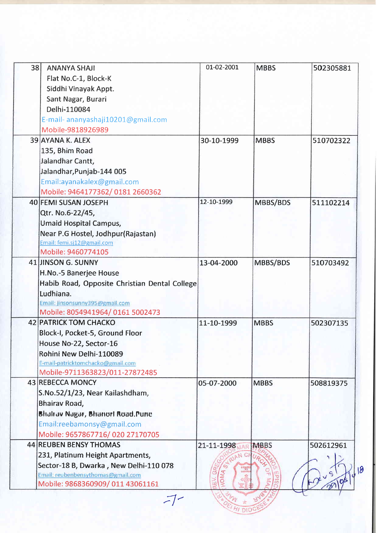| 38 | <b>ANANYA SHAJI</b>                           | 01-02-2001 | <b>MBBS</b> | 502305881 |
|----|-----------------------------------------------|------------|-------------|-----------|
|    | Flat No.C-1, Block-K                          |            |             |           |
|    | Siddhi Vinayak Appt.                          |            |             |           |
|    | Sant Nagar, Burari                            |            |             |           |
|    | Delhi-110084                                  |            |             |           |
|    | E-mail- ananyashaji10201@gmail.com            |            |             |           |
|    | Mobile-9818926989                             |            |             |           |
|    | 39 AYANA K. ALEX                              | 30-10-1999 | <b>MBBS</b> | 510702322 |
|    | 135, Bhim Road                                |            |             |           |
|    | Jalandhar Cantt,                              |            |             |           |
|    | Jalandhar, Punjab-144 005                     |            |             |           |
|    | Email:ayanakalex@gmail.com                    |            |             |           |
|    | Mobile: 9464177362/0181 2660362               |            |             |           |
|    | 40 FEMI SUSAN JOSEPH                          | 12-10-1999 | MBBS/BDS    | 511102214 |
|    | Qtr. No.6-22/45,                              |            |             |           |
|    | Umaid Hospital Campus,                        |            |             |           |
|    | Near P.G Hostel, Jodhpur(Rajastan)            |            |             |           |
|    | Email: femi.sj12@gmail.com                    |            |             |           |
|    | Mobile: 9460774105                            |            |             |           |
|    | 41 JINSON G. SUNNY                            | 13-04-2000 | MBBS/BDS    | 510703492 |
|    | H.No.-5 Banerjee House                        |            |             |           |
|    | Habib Road, Opposite Christian Dental College |            |             |           |
|    | Ludhiana.                                     |            |             |           |
|    | Email: jinsonsunny395@gmail.com               |            |             |           |
|    | Mobile: 8054941964/0161 5002473               |            |             |           |
|    | <b>42 PATRICK TOM CHACKO</b>                  | 11-10-1999 | <b>MBBS</b> | 502307135 |
|    | Block-I, Pocket-5, Ground Floor               |            |             |           |
|    | House No-22, Sector-16                        |            |             |           |
|    | Rohini New Delhi-110089                       |            |             |           |
|    | E-mail-patricktomchacko@gmail.com             |            |             |           |
|    | Mobile-9711363823/011-27872485                |            |             |           |
|    | 43 REBECCA MONCY                              | 05-07-2000 | <b>MBBS</b> | 508819375 |
|    | S.No.52/1/23, Near Kailashdham,               |            |             |           |
|    | Bhairav Road,                                 |            |             |           |
|    | Bhalrav Nagar, Bhanor! Road.Pune              |            |             |           |
|    | Email:reebamonsy@gmail.com                    |            |             |           |
|    | Mobile: 9657867716/020 27170705               |            |             |           |
|    | <b>44 REUBEN BENSY THOMAS</b>                 | 21-11-1998 | <b>MBBS</b> | 502612961 |
|    | 231, Platinum Height Apartments,              |            |             |           |
|    | Sector-18 B, Dwarka, New Delhi-110 078        | C)         |             |           |
|    | Email: reubenbensythomas@gmail.com            | ADMA       |             | 18        |
|    | Mobile: 9868360909/011 43061161               |            |             |           |
|    |                                               |            |             |           |
|    | $-$                                           |            |             |           |